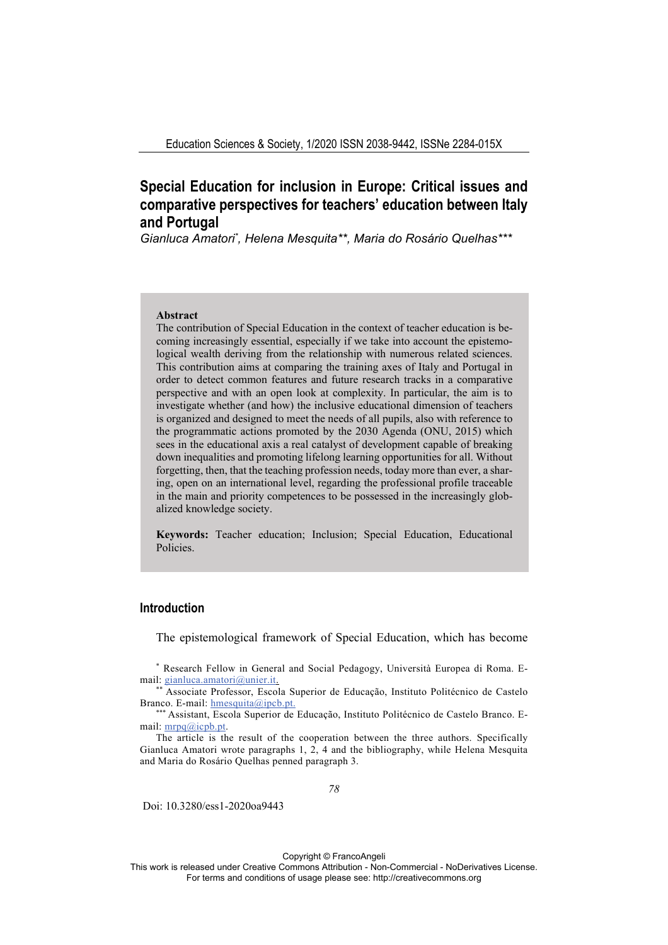# **Special Education for inclusion in Europe: Critical issues and comparative perspectives for teachers' education between Italy and Portugal**

Gianluca Amatori\*, Helena Mesquita\*\*, Maria do Rosário Quelhas\*\*\*

### **Abstract**

The contribution of Special Education in the context of teacher education is becoming increasingly essential, especially if we take into account the epistemological wealth deriving from the relationship with numerous related sciences. This contribution aims at comparing the training axes of Italy and Portugal in order to detect common features and future research tracks in a comparative perspective and with an open look at complexity. In particular, the aim is to investigate whether (and how) the inclusive educational dimension of teachers is organized and designed to meet the needs of all pupils, also with reference to the programmatic actions promoted by the 2030 Agenda (ONU, 2015) which sees in the educational axis a real catalyst of development capable of breaking down inequalities and promoting lifelong learning opportunities for all. Without forgetting, then, that the teaching profession needs, today more than ever, a sharing, open on an international level, regarding the professional profile traceable in the main and priority competences to be possessed in the increasingly globalized knowledge society.

**Keywords:** Teacher education; Inclusion; Special Education, Educational Policies.

# **Introduction**

The epistemological framework of Special Education, which has become

\* Research Fellow in General and Social Pedagogy, Università Europea di Roma. Email: gianluca.amatori@unier.it.<br>\*\* Associate Professor, Escola Superior de Educação, Instituto Politécnico de Castelo

Branco. E-mail: hmesquita@ipcb.pt.<br>\*\*\* Assistant, Escola Superior de Educação, Instituto Politécnico de Castelo Branco. E-

mail: mrpq@icpb.pt.

The article is the result of the cooperation between the three authors. Specifically Gianluca Amatori wrote paragraphs 1, 2, 4 and the bibliography, while Helena Mesquita and Maria do Rosário Quelhas penned paragraph 3.

*78* 

Doi: 10.3280/ess1-2020oa9443

Copyright © FrancoAngeli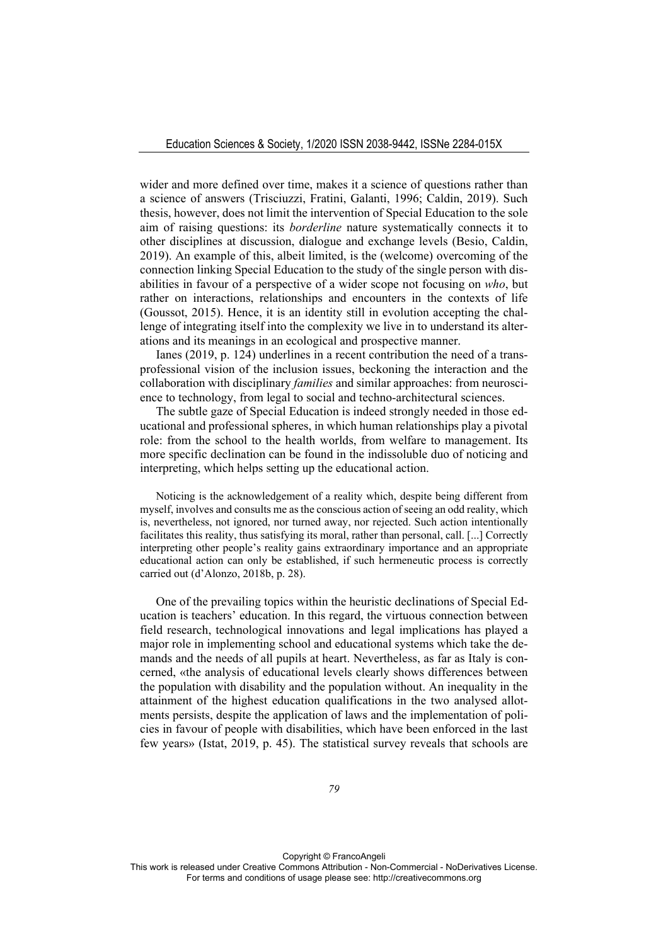wider and more defined over time, makes it a science of questions rather than a science of answers (Trisciuzzi, Fratini, Galanti, 1996; Caldin, 2019). Such thesis, however, does not limit the intervention of Special Education to the sole aim of raising questions: its *borderline* nature systematically connects it to other disciplines at discussion, dialogue and exchange levels (Besio, Caldin, 2019). An example of this, albeit limited, is the (welcome) overcoming of the connection linking Special Education to the study of the single person with disabilities in favour of a perspective of a wider scope not focusing on *who*, but rather on interactions, relationships and encounters in the contexts of life (Goussot, 2015). Hence, it is an identity still in evolution accepting the challenge of integrating itself into the complexity we live in to understand its alterations and its meanings in an ecological and prospective manner.

Ianes (2019, p. 124) underlines in a recent contribution the need of a transprofessional vision of the inclusion issues, beckoning the interaction and the collaboration with disciplinary *families* and similar approaches: from neuroscience to technology, from legal to social and techno-architectural sciences.

The subtle gaze of Special Education is indeed strongly needed in those educational and professional spheres, in which human relationships play a pivotal role: from the school to the health worlds, from welfare to management. Its more specific declination can be found in the indissoluble duo of noticing and interpreting, which helps setting up the educational action.

Noticing is the acknowledgement of a reality which, despite being different from myself, involves and consults me as the conscious action of seeing an odd reality, which is, nevertheless, not ignored, nor turned away, nor rejected. Such action intentionally facilitates this reality, thus satisfying its moral, rather than personal, call. [...] Correctly interpreting other people's reality gains extraordinary importance and an appropriate educational action can only be established, if such hermeneutic process is correctly carried out (d'Alonzo, 2018b, p. 28).

One of the prevailing topics within the heuristic declinations of Special Education is teachers' education. In this regard, the virtuous connection between field research, technological innovations and legal implications has played a major role in implementing school and educational systems which take the demands and the needs of all pupils at heart. Nevertheless, as far as Italy is concerned, «the analysis of educational levels clearly shows differences between the population with disability and the population without. An inequality in the attainment of the highest education qualifications in the two analysed allotments persists, despite the application of laws and the implementation of policies in favour of people with disabilities, which have been enforced in the last few years» (Istat, 2019, p. 45). The statistical survey reveals that schools are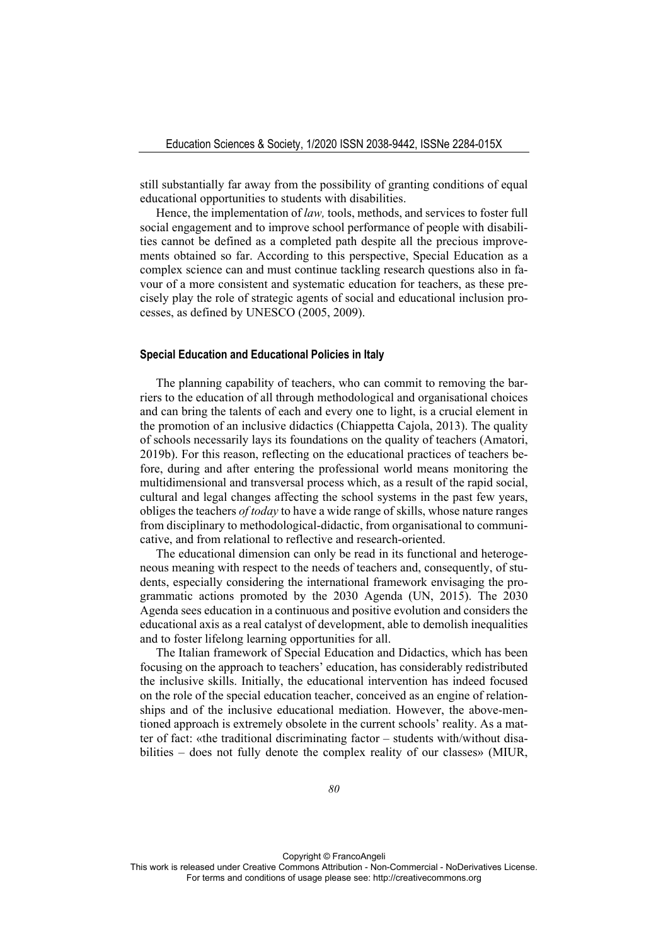still substantially far away from the possibility of granting conditions of equal educational opportunities to students with disabilities.

Hence, the implementation of *law,* tools, methods, and services to foster full social engagement and to improve school performance of people with disabilities cannot be defined as a completed path despite all the precious improvements obtained so far. According to this perspective, Special Education as a complex science can and must continue tackling research questions also in favour of a more consistent and systematic education for teachers, as these precisely play the role of strategic agents of social and educational inclusion processes, as defined by UNESCO (2005, 2009).

#### **Special Education and Educational Policies in Italy**

The planning capability of teachers, who can commit to removing the barriers to the education of all through methodological and organisational choices and can bring the talents of each and every one to light, is a crucial element in the promotion of an inclusive didactics (Chiappetta Cajola, 2013). The quality of schools necessarily lays its foundations on the quality of teachers (Amatori, 2019b). For this reason, reflecting on the educational practices of teachers before, during and after entering the professional world means monitoring the multidimensional and transversal process which, as a result of the rapid social, cultural and legal changes affecting the school systems in the past few years, obliges the teachers *of today* to have a wide range of skills, whose nature ranges from disciplinary to methodological-didactic, from organisational to communicative, and from relational to reflective and research-oriented.

The educational dimension can only be read in its functional and heterogeneous meaning with respect to the needs of teachers and, consequently, of students, especially considering the international framework envisaging the programmatic actions promoted by the 2030 Agenda (UN, 2015). The 2030 Agenda sees education in a continuous and positive evolution and considers the educational axis as a real catalyst of development, able to demolish inequalities and to foster lifelong learning opportunities for all.

The Italian framework of Special Education and Didactics, which has been focusing on the approach to teachers' education, has considerably redistributed the inclusive skills. Initially, the educational intervention has indeed focused on the role of the special education teacher, conceived as an engine of relationships and of the inclusive educational mediation. However, the above-mentioned approach is extremely obsolete in the current schools' reality. As a matter of fact: «the traditional discriminating factor – students with/without disabilities – does not fully denote the complex reality of our classes» (MIUR,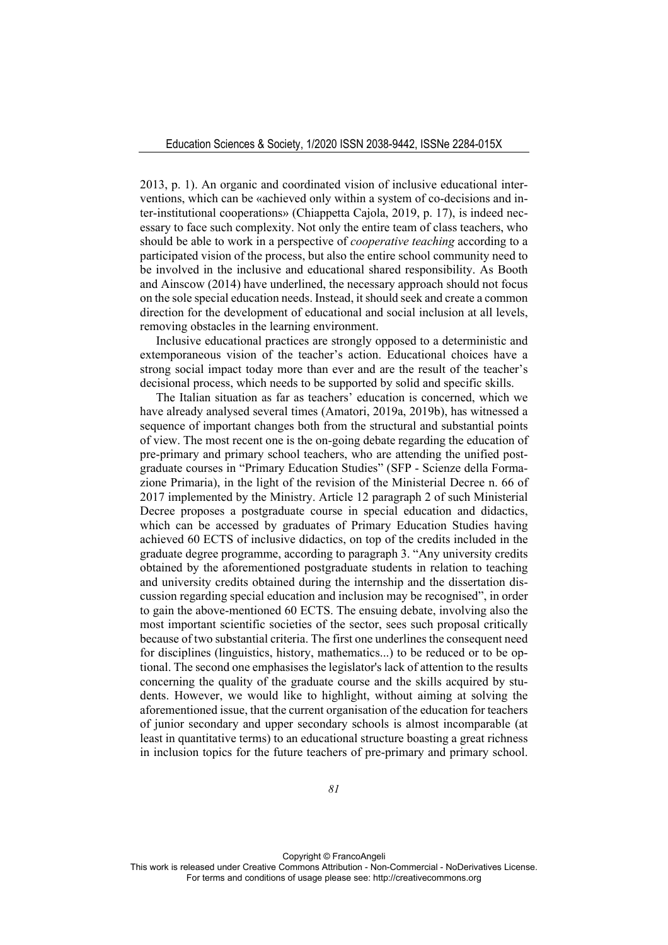2013, p. 1). An organic and coordinated vision of inclusive educational interventions, which can be «achieved only within a system of co-decisions and inter-institutional cooperations» (Chiappetta Cajola, 2019, p. 17), is indeed necessary to face such complexity. Not only the entire team of class teachers, who should be able to work in a perspective of *cooperative teaching* according to a participated vision of the process, but also the entire school community need to be involved in the inclusive and educational shared responsibility. As Booth and Ainscow (2014) have underlined, the necessary approach should not focus on the sole special education needs. Instead, it should seek and create a common direction for the development of educational and social inclusion at all levels, removing obstacles in the learning environment.

Inclusive educational practices are strongly opposed to a deterministic and extemporaneous vision of the teacher's action. Educational choices have a strong social impact today more than ever and are the result of the teacher's decisional process, which needs to be supported by solid and specific skills.

The Italian situation as far as teachers' education is concerned, which we have already analysed several times (Amatori, 2019a, 2019b), has witnessed a sequence of important changes both from the structural and substantial points of view. The most recent one is the on-going debate regarding the education of pre-primary and primary school teachers, who are attending the unified postgraduate courses in "Primary Education Studies" (SFP - Scienze della Formazione Primaria), in the light of the revision of the Ministerial Decree n. 66 of 2017 implemented by the Ministry. Article 12 paragraph 2 of such Ministerial Decree proposes a postgraduate course in special education and didactics, which can be accessed by graduates of Primary Education Studies having achieved 60 ECTS of inclusive didactics, on top of the credits included in the graduate degree programme, according to paragraph 3. "Any university credits obtained by the aforementioned postgraduate students in relation to teaching and university credits obtained during the internship and the dissertation discussion regarding special education and inclusion may be recognised", in order to gain the above-mentioned 60 ECTS. The ensuing debate, involving also the most important scientific societies of the sector, sees such proposal critically because of two substantial criteria. The first one underlines the consequent need for disciplines (linguistics, history, mathematics...) to be reduced or to be optional. The second one emphasises the legislator's lack of attention to the results concerning the quality of the graduate course and the skills acquired by students. However, we would like to highlight, without aiming at solving the aforementioned issue, that the current organisation of the education for teachers of junior secondary and upper secondary schools is almost incomparable (at least in quantitative terms) to an educational structure boasting a great richness in inclusion topics for the future teachers of pre-primary and primary school.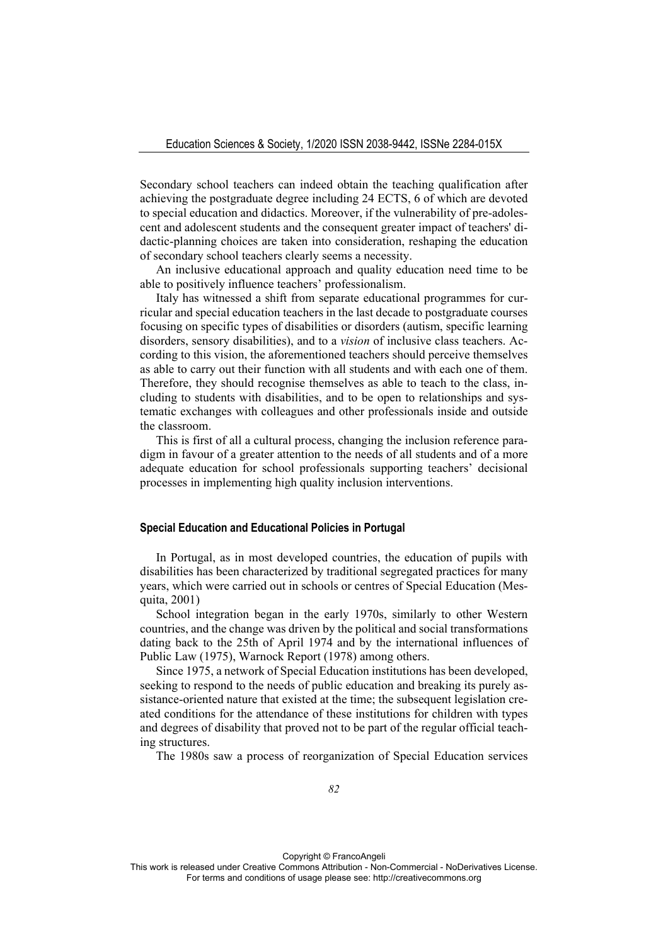Secondary school teachers can indeed obtain the teaching qualification after achieving the postgraduate degree including 24 ECTS, 6 of which are devoted to special education and didactics. Moreover, if the vulnerability of pre-adolescent and adolescent students and the consequent greater impact of teachers' didactic-planning choices are taken into consideration, reshaping the education of secondary school teachers clearly seems a necessity.

An inclusive educational approach and quality education need time to be able to positively influence teachers' professionalism.

Italy has witnessed a shift from separate educational programmes for curricular and special education teachers in the last decade to postgraduate courses focusing on specific types of disabilities or disorders (autism, specific learning disorders, sensory disabilities), and to a *vision* of inclusive class teachers. According to this vision, the aforementioned teachers should perceive themselves as able to carry out their function with all students and with each one of them. Therefore, they should recognise themselves as able to teach to the class, including to students with disabilities, and to be open to relationships and systematic exchanges with colleagues and other professionals inside and outside the classroom.

This is first of all a cultural process, changing the inclusion reference paradigm in favour of a greater attention to the needs of all students and of a more adequate education for school professionals supporting teachers' decisional processes in implementing high quality inclusion interventions.

#### **Special Education and Educational Policies in Portugal**

In Portugal, as in most developed countries, the education of pupils with disabilities has been characterized by traditional segregated practices for many years, which were carried out in schools or centres of Special Education (Mesquita, 2001)

School integration began in the early 1970s, similarly to other Western countries, and the change was driven by the political and social transformations dating back to the 25th of April 1974 and by the international influences of Public Law (1975), Warnock Report (1978) among others.

Since 1975, a network of Special Education institutions has been developed, seeking to respond to the needs of public education and breaking its purely assistance-oriented nature that existed at the time; the subsequent legislation created conditions for the attendance of these institutions for children with types and degrees of disability that proved not to be part of the regular official teaching structures.

The 1980s saw a process of reorganization of Special Education services

Copyright © FrancoAngeli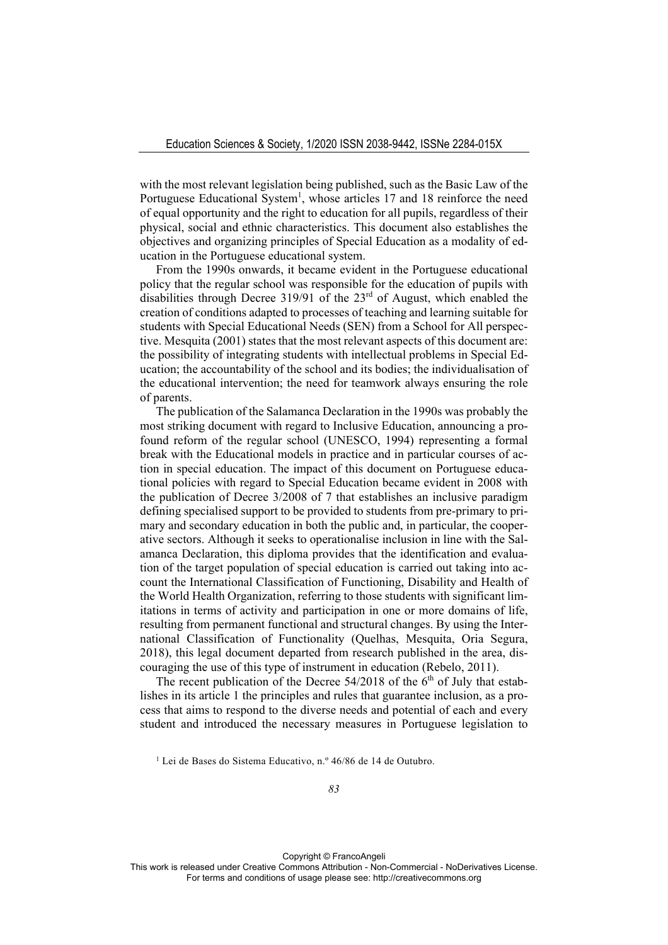with the most relevant legislation being published, such as the Basic Law of the Portuguese Educational System<sup>1</sup>, whose articles 17 and 18 reinforce the need of equal opportunity and the right to education for all pupils, regardless of their physical, social and ethnic characteristics. This document also establishes the objectives and organizing principles of Special Education as a modality of education in the Portuguese educational system.

From the 1990s onwards, it became evident in the Portuguese educational policy that the regular school was responsible for the education of pupils with disabilities through Decree 319/91 of the  $23<sup>rd</sup>$  of August, which enabled the creation of conditions adapted to processes of teaching and learning suitable for students with Special Educational Needs (SEN) from a School for All perspective. Mesquita (2001) states that the most relevant aspects of this document are: the possibility of integrating students with intellectual problems in Special Education; the accountability of the school and its bodies; the individualisation of the educational intervention; the need for teamwork always ensuring the role of parents.

The publication of the Salamanca Declaration in the 1990s was probably the most striking document with regard to Inclusive Education, announcing a profound reform of the regular school (UNESCO, 1994) representing a formal break with the Educational models in practice and in particular courses of action in special education. The impact of this document on Portuguese educational policies with regard to Special Education became evident in 2008 with the publication of Decree 3/2008 of 7 that establishes an inclusive paradigm defining specialised support to be provided to students from pre-primary to primary and secondary education in both the public and, in particular, the cooperative sectors. Although it seeks to operationalise inclusion in line with the Salamanca Declaration, this diploma provides that the identification and evaluation of the target population of special education is carried out taking into account the International Classification of Functioning, Disability and Health of the World Health Organization, referring to those students with significant limitations in terms of activity and participation in one or more domains of life, resulting from permanent functional and structural changes. By using the International Classification of Functionality (Quelhas, Mesquita, Oria Segura, 2018), this legal document departed from research published in the area, discouraging the use of this type of instrument in education (Rebelo, 2011).

The recent publication of the Decree  $54/2018$  of the 6<sup>th</sup> of July that establishes in its article 1 the principles and rules that guarantee inclusion, as a process that aims to respond to the diverse needs and potential of each and every student and introduced the necessary measures in Portuguese legislation to

<sup>1</sup> Lei de Bases do Sistema Educativo, n.º 46/86 de 14 de Outubro.

Copyright © FrancoAngeli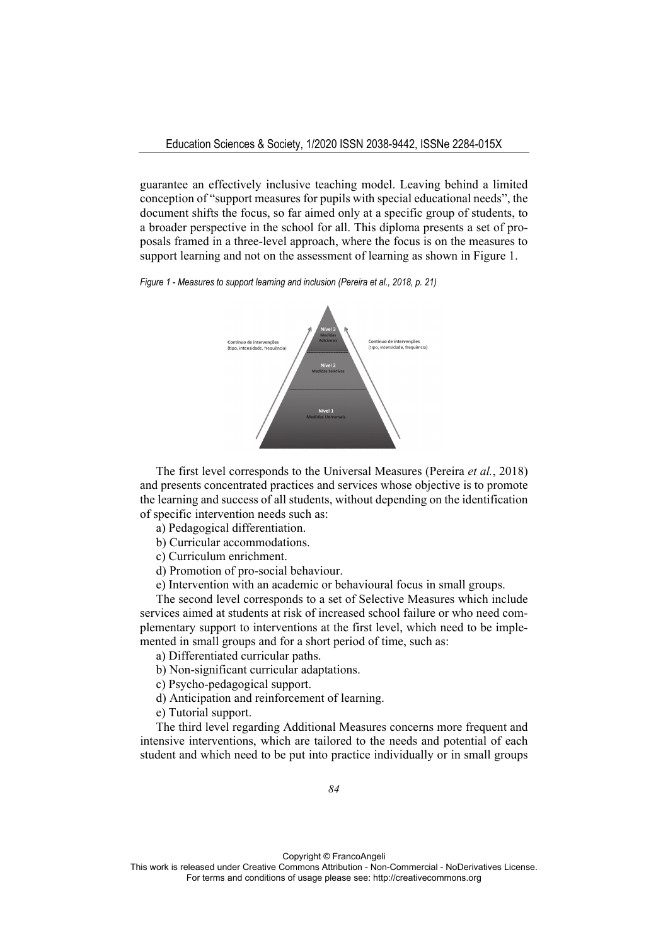guarantee an effectively inclusive teaching model. Leaving behind a limited conception of "support measures for pupils with special educational needs", the document shifts the focus, so far aimed only at a specific group of students, to a broader perspective in the school for all. This diploma presents a set of proposals framed in a three-level approach, where the focus is on the measures to support learning and not on the assessment of learning as shown in Figure 1.





The first level corresponds to the Universal Measures (Pereira *et al.*, 2018) and presents concentrated practices and services whose objective is to promote the learning and success of all students, without depending on the identification of specific intervention needs such as:

a) Pedagogical differentiation.

b) Curricular accommodations.

c) Curriculum enrichment.

d) Promotion of pro-social behaviour.

e) Intervention with an academic or behavioural focus in small groups.

The second level corresponds to a set of Selective Measures which include services aimed at students at risk of increased school failure or who need complementary support to interventions at the first level, which need to be implemented in small groups and for a short period of time, such as:

a) Differentiated curricular paths.

b) Non-significant curricular adaptations.

c) Psycho-pedagogical support.

d) Anticipation and reinforcement of learning.

e) Tutorial support.

The third level regarding Additional Measures concerns more frequent and intensive interventions, which are tailored to the needs and potential of each student and which need to be put into practice individually or in small groups

Copyright © FrancoAngeli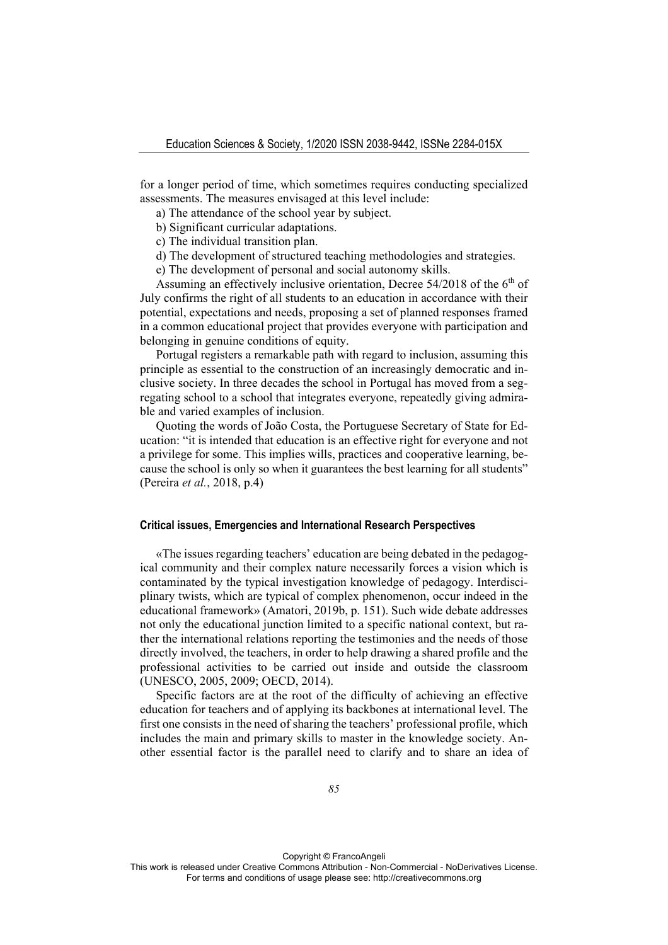for a longer period of time, which sometimes requires conducting specialized assessments. The measures envisaged at this level include:

a) The attendance of the school year by subject.

b) Significant curricular adaptations.

c) The individual transition plan.

d) The development of structured teaching methodologies and strategies.

e) The development of personal and social autonomy skills.

Assuming an effectively inclusive orientation, Decree  $54/2018$  of the  $6<sup>th</sup>$  of July confirms the right of all students to an education in accordance with their potential, expectations and needs, proposing a set of planned responses framed in a common educational project that provides everyone with participation and belonging in genuine conditions of equity.

Portugal registers a remarkable path with regard to inclusion, assuming this principle as essential to the construction of an increasingly democratic and inclusive society. In three decades the school in Portugal has moved from a segregating school to a school that integrates everyone, repeatedly giving admirable and varied examples of inclusion.

Quoting the words of João Costa, the Portuguese Secretary of State for Education: "it is intended that education is an effective right for everyone and not a privilege for some. This implies wills, practices and cooperative learning, because the school is only so when it guarantees the best learning for all students" (Pereira *et al.*, 2018, p.4)

#### **Critical issues, Emergencies and International Research Perspectives**

«The issues regarding teachers' education are being debated in the pedagogical community and their complex nature necessarily forces a vision which is contaminated by the typical investigation knowledge of pedagogy. Interdisciplinary twists, which are typical of complex phenomenon, occur indeed in the educational framework» (Amatori, 2019b, p. 151). Such wide debate addresses not only the educational junction limited to a specific national context, but rather the international relations reporting the testimonies and the needs of those directly involved, the teachers, in order to help drawing a shared profile and the professional activities to be carried out inside and outside the classroom (UNESCO, 2005, 2009; OECD, 2014).

Specific factors are at the root of the difficulty of achieving an effective education for teachers and of applying its backbones at international level. The first one consists in the need of sharing the teachers' professional profile, which includes the main and primary skills to master in the knowledge society. Another essential factor is the parallel need to clarify and to share an idea of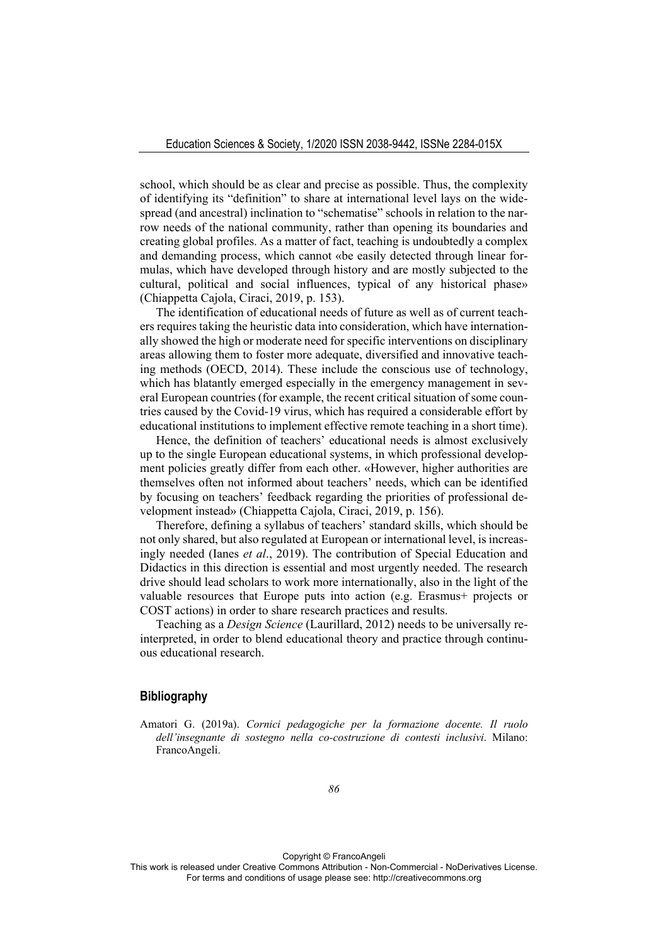school, which should be as clear and precise as possible. Thus, the complexity of identifying its "definition" to share at international level lays on the widespread (and ancestral) inclination to "schematise" schools in relation to the narrow needs of the national community, rather than opening its boundaries and creating global profiles. As a matter of fact, teaching is undoubtedly a complex and demanding process, which cannot «be easily detected through linear formulas, which have developed through history and are mostly subjected to the cultural, political and social influences, typical of any historical phase» (Chiappetta Cajola, Ciraci, 2019, p. 153).

The identification of educational needs of future as well as of current teachers requires taking the heuristic data into consideration, which have internationally showed the high or moderate need for specific interventions on disciplinary areas allowing them to foster more adequate, diversified and innovative teaching methods (OECD, 2014). These include the conscious use of technology, which has blatantly emerged especially in the emergency management in several European countries (for example, the recent critical situation of some countries caused by the Covid-19 virus, which has required a considerable effort by educational institutions to implement effective remote teaching in a short time).

Hence, the definition of teachers' educational needs is almost exclusively up to the single European educational systems, in which professional development policies greatly differ from each other. «However, higher authorities are themselves often not informed about teachers' needs, which can be identified by focusing on teachers' feedback regarding the priorities of professional development instead» (Chiappetta Cajola, Ciraci, 2019, p. 156).

Therefore, defining a syllabus of teachers' standard skills, which should be not only shared, but also regulated at European or international level, is increasingly needed (Ianes *et al*., 2019). The contribution of Special Education and Didactics in this direction is essential and most urgently needed. The research drive should lead scholars to work more internationally, also in the light of the valuable resources that Europe puts into action (e.g. Erasmus+ projects or COST actions) in order to share research practices and results.

Teaching as a *Design Science* (Laurillard, 2012) needs to be universally reinterpreted, in order to blend educational theory and practice through continuous educational research.

## **Bibliography**

Amatori G. (2019a). *Cornici pedagogiche per la formazione docente. Il ruolo dell'insegnante di sostegno nella co-costruzione di contesti inclusivi*. Milano: FrancoAngeli.

Copyright © FrancoAngeli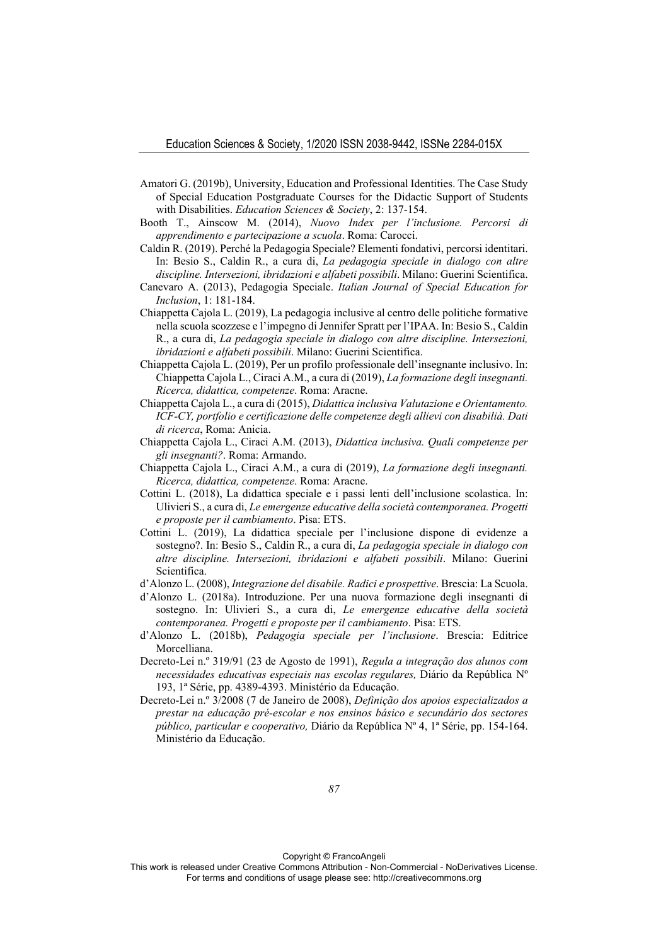- Amatori G. (2019b), University, Education and Professional Identities. The Case Study of Special Education Postgraduate Courses for the Didactic Support of Students with Disabilities. *Education Sciences & Society*, 2: 137-154.
- Booth T., Ainscow M. (2014), *Nuovo Index per l'inclusione. Percorsi di apprendimento e partecipazione a scuola*. Roma: Carocci.
- Caldin R. (2019). Perché la Pedagogia Speciale? Elementi fondativi, percorsi identitari. In: Besio S., Caldin R., a cura di, *La pedagogia speciale in dialogo con altre discipline. Intersezioni, ibridazioni e alfabeti possibili*. Milano: Guerini Scientifica.
- Canevaro A. (2013), Pedagogia Speciale. *Italian Journal of Special Education for Inclusion*, 1: 181-184.
- Chiappetta Cajola L. (2019), La pedagogia inclusive al centro delle politiche formative nella scuola scozzese e l'impegno di Jennifer Spratt per l'IPAA. In: Besio S., Caldin R., a cura di, *La pedagogia speciale in dialogo con altre discipline. Intersezioni, ibridazioni e alfabeti possibili*. Milano: Guerini Scientifica.
- Chiappetta Cajola L. (2019), Per un profilo professionale dell'insegnante inclusivo. In: Chiappetta Cajola L., Ciraci A.M., a cura di (2019), *La formazione degli insegnanti. Ricerca, didattica, competenze*. Roma: Aracne.
- Chiappetta Cajola L., a cura di (2015), *Didattica inclusiva Valutazione e Orientamento. ICF-CY, portfolio e certificazione delle competenze degli allievi con disabilià. Dati di ricerca*, Roma: Anicia.
- Chiappetta Cajola L., Ciraci A.M. (2013), *Didattica inclusiva. Quali competenze per gli insegnanti?*. Roma: Armando.
- Chiappetta Cajola L., Ciraci A.M., a cura di (2019), *La formazione degli insegnanti. Ricerca, didattica, competenze*. Roma: Aracne.
- Cottini L. (2018), La didattica speciale e i passi lenti dell'inclusione scolastica. In: Ulivieri S., a cura di, *Le emergenze educative della società contemporanea. Progetti e proposte per il cambiamento*. Pisa: ETS.
- Cottini L. (2019), La didattica speciale per l'inclusione dispone di evidenze a sostegno?. In: Besio S., Caldin R., a cura di, *La pedagogia speciale in dialogo con altre discipline. Intersezioni, ibridazioni e alfabeti possibili*. Milano: Guerini Scientifica.
- d'Alonzo L. (2008), *Integrazione del disabile. Radici e prospettive*. Brescia: La Scuola.
- d'Alonzo L. (2018a). Introduzione. Per una nuova formazione degli insegnanti di sostegno. In: Ulivieri S., a cura di, *Le emergenze educative della società contemporanea. Progetti e proposte per il cambiamento*. Pisa: ETS.
- d'Alonzo L. (2018b), *Pedagogia speciale per l'inclusione*. Brescia: Editrice Morcelliana.
- Decreto-Lei n.º 319/91 (23 de Agosto de 1991), *Regula a integração dos alunos com necessidades educativas especiais nas escolas regulares,* Diário da República Nº 193, 1ª Série, pp. 4389-4393. Ministério da Educação.
- Decreto-Lei n.º 3/2008 (7 de Janeiro de 2008), *Definição dos apoios especializados a prestar na educação pré-escolar e nos ensinos básico e secundário dos sectores público, particular e cooperativo,* Diário da República Nº 4, 1ª Série, pp. 154-164. Ministério da Educação.

Copyright © FrancoAngeli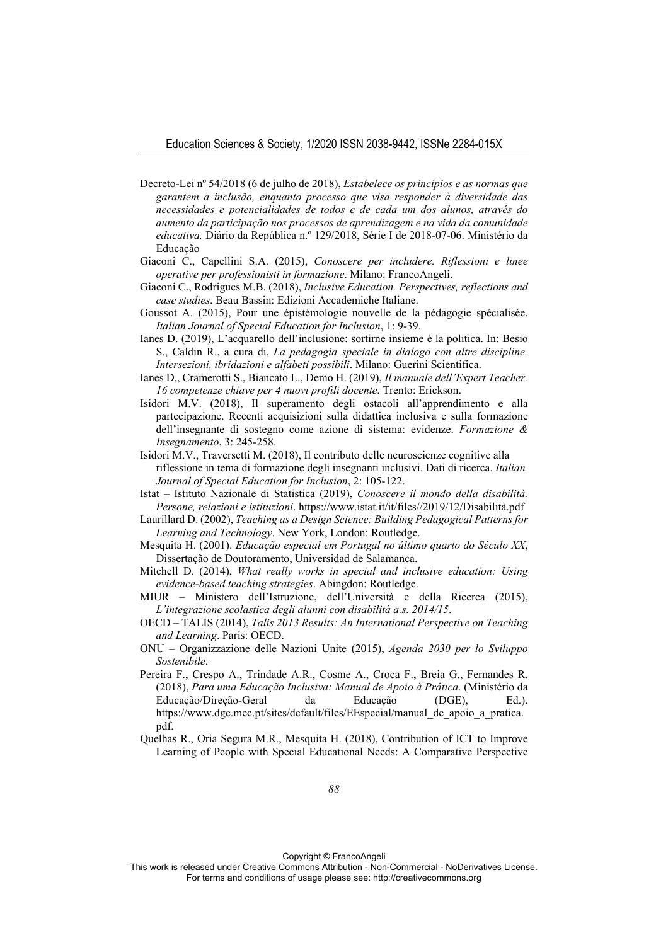- Decreto-Lei nº 54/2018 (6 de julho de 2018), *Estabelece os princípios e as normas que garantem a inclusão, enquanto processo que visa responder à diversidade das necessidades e potencialidades de todos e de cada um dos alunos, através do aumento da participação nos processos de aprendizagem e na vida da comunidade educativa,* Diário da República n.º 129/2018, Série I de 2018-07-06. Ministério da Educação
- Giaconi C., Capellini S.A. (2015), *Conoscere per includere. Riflessioni e linee operative per professionisti in formazione*. Milano: FrancoAngeli.
- Giaconi C., Rodrigues M.B. (2018), *Inclusive Education. Perspectives, reflections and case studies*. Beau Bassin: Edizioni Accademiche Italiane.
- Goussot A. (2015), Pour une épistémologie nouvelle de la pédagogie spécialisée. *Italian Journal of Special Education for Inclusion*, 1: 9-39.
- Ianes D. (2019), L'acquarello dell'inclusione: sortirne insieme è la politica. In: Besio S., Caldin R., a cura di, *La pedagogia speciale in dialogo con altre discipline. Intersezioni, ibridazioni e alfabeti possibili*. Milano: Guerini Scientifica.
- Ianes D., Cramerotti S., Biancato L., Demo H. (2019), *Il manuale dell'Expert Teacher. 16 competenze chiave per 4 nuovi profili docente*. Trento: Erickson.
- Isidori M.V. (2018), Il superamento degli ostacoli all'apprendimento e alla partecipazione. Recenti acquisizioni sulla didattica inclusiva e sulla formazione dell'insegnante di sostegno come azione di sistema: evidenze. *Formazione & Insegnamento*, 3: 245-258.
- Isidori M.V., Traversetti M. (2018), Il contributo delle neuroscienze cognitive alla riflessione in tema di formazione degli insegnanti inclusivi. Dati di ricerca. *Italian Journal of Special Education for Inclusion*, 2: 105-122.
- Istat Istituto Nazionale di Statistica (2019), *Conoscere il mondo della disabilità. Persone, relazioni e istituzioni*. https://www.istat.it/it/files//2019/12/Disabilità.pdf
- Laurillard D. (2002), *Teaching as a Design Science: Building Pedagogical Patterns for Learning and Technology*. New York, London: Routledge.
- Mesquita H. (2001). *Educação especial em Portugal no último quarto do Século XX*, Dissertação de Doutoramento, Universidad de Salamanca.
- Mitchell D. (2014), *What really works in special and inclusive education: Using evidence-based teaching strategies*. Abingdon: Routledge.
- MIUR Ministero dell'Istruzione, dell'Università e della Ricerca (2015), *L'integrazione scolastica degli alunni con disabilità a.s. 2014/15*.
- OECD TALIS (2014), *Talis 2013 Results: An International Perspective on Teaching and Learning*. Paris: OECD.
- ONU Organizzazione delle Nazioni Unite (2015), *Agenda 2030 per lo Sviluppo Sostenibile*.
- Pereira F., Crespo A., Trindade A.R., Cosme A., Croca F., Breia G., Fernandes R. (2018), *Para uma Educação Inclusiva: Manual de Apoio à Prática*. (Ministério da Educação/Direção-Geral da Educação (DGE), Ed.). https://www.dge.mec.pt/sites/default/files/EEspecial/manual\_de\_apoio\_a\_pratica. pdf.
- Quelhas R., Oria Segura M.R., Mesquita H. (2018), Contribution of ICT to Improve Learning of People with Special Educational Needs: A Comparative Perspective

Copyright © FrancoAngeli

This work is released under Creative Commons Attribution - Non-Commercial - NoDerivatives License. For terms and conditions of usage please see: http://creativecommons.org